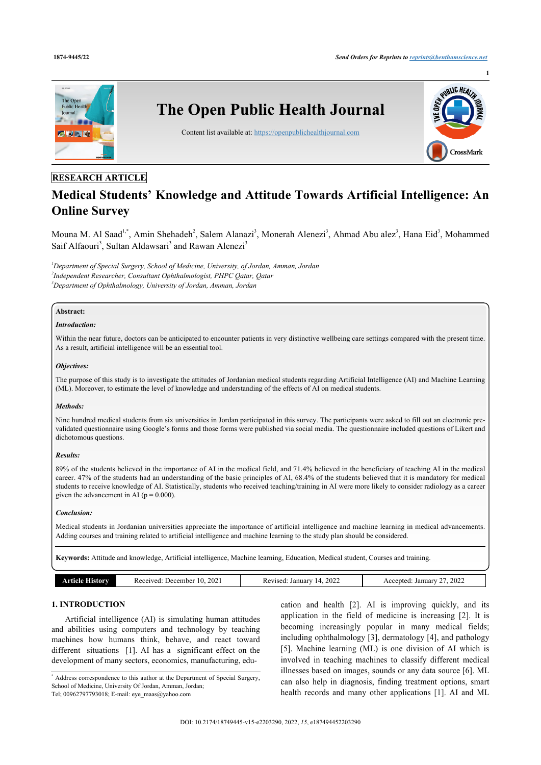

# **RESEARCH ARTICLE**

# **Medical Students' Knowledge and Attitude Towards Artificial Intelligence: An Online Survey**

Mouna M. Al Saad<sup>[1,](#page-0-0)[\\*](#page-0-1)</sup>, Amin Shehadeh<sup>[2](#page-0-2)</sup>, Salem Alanazi<sup>[3](#page-0-3)</sup>, Monerah Alenezi<sup>3</sup>, Ahmad Abu alez<sup>3</sup>, Hana Eid<sup>3</sup>, Mohammed Saif Alfaouri<sup>[3](#page-0-3)</sup>, Sultan Aldawsari<sup>3</sup> and Rawan Alenezi<sup>3</sup>

<span id="page-0-3"></span><span id="page-0-2"></span><span id="page-0-0"></span>*<sup>1</sup>Department of Special Surgery, School of Medicine, University, of Jordan, Amman, Jordan 2 Independent Researcher, Consultant Ophthalmologist, PHPC Qatar, Qatar <sup>3</sup>Department of Ophthalmology, University of Jordan, Amman, Jordan*

# **Abstract:**

#### *Introduction:*

Within the near future, doctors can be anticipated to encounter patients in very distinctive wellbeing care settings compared with the present time. As a result, artificial intelligence will be an essential tool.

# *Objectives:*

The purpose of this study is to investigate the attitudes of Jordanian medical students regarding Artificial Intelligence (AI) and Machine Learning (ML). Moreover, to estimate the level of knowledge and understanding of the effects of AI on medical students.

#### *Methods:*

Nine hundred medical students from six universities in Jordan participated in this survey. The participants were asked to fill out an electronic prevalidated questionnaire using Google's forms and those forms were published via social media. The questionnaire included questions of Likert and dichotomous questions.

# *Results:*

89% of the students believed in the importance of AI in the medical field, and 71.4% believed in the beneficiary of teaching AI in the medical career. 47% of the students had an understanding of the basic principles of AI, 68.4% of the students believed that it is mandatory for medical students to receive knowledge of AI. Statistically, students who received teaching/training in AI were more likely to consider radiology as a career given the advancement in AI ( $p = 0.000$ ).

#### *Conclusion:*

Medical students in Jordanian universities appreciate the importance of artificial intelligence and machine learning in medical advancements. Adding courses and training related to artificial intelligence and machine learning to the study plan should be considered.

**Keywords:** Attitude and knowledge, Artificial intelligence, Machine learning, Education, Medical student, Courses and training.

| 2022<br>202<br>2022<br>December ،<br>January<br>Januar<br>0.01170d<br>kevised.<br>History<br>.otec<br>. д.<br>Kt.<br>. .<br>$- - -$<br>. |
|------------------------------------------------------------------------------------------------------------------------------------------|
|------------------------------------------------------------------------------------------------------------------------------------------|

# **1. INTRODUCTION**

Artificial intelligence (AI) is simulating human attitudes and abilities using computers and technology by teaching machines how humans think, behave, and react toward different situations [\[1\]](#page-6-0). AI has a significant effect on the development of many sectors, economics, manufacturing, education and health[[2](#page-6-1)]. AI is improving quickly, and its application in the field of medicine is increasing [\[2\]](#page-6-1). It is becoming increasingly popular in many medical fields; including ophthalmology [[3\]](#page-6-2), dermatology [[4\]](#page-6-3), and pathology [[5\]](#page-6-4). Machine learning (ML) is one division of AI which is involved in teaching machines to classify different medical illnesses based on images, sounds or any data source [\[6\]](#page-6-5). ML can also help in diagnosis, finding treatment options, smart health records and many other applications[[1\]](#page-6-0). AI and ML

<span id="page-0-1"></span><sup>\*</sup> Address correspondence to this author at the Department of Special Surgery, School of Medicine, University Of Jordan, Amman, Jordan; Tel; 00962797793018; E-mail: [eye\\_maas@yahoo.com](mailto:eye_maas@yahoo.com)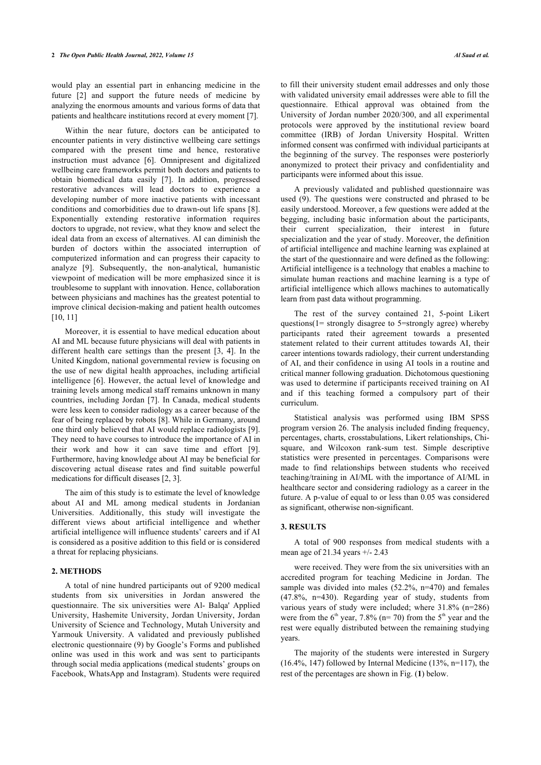would play an essential part in enhancing medicine in the future[[2](#page-6-1)] and support the future needs of medicine by analyzing the enormous amounts and various forms of data that patients and healthcare institutions record at every moment [[7](#page-6-6)].

Within the near future, doctors can be anticipated to encounter patients in very distinctive wellbeing care settings compared with the present time and hence, restorative instruction must advance[[6\]](#page-6-5). Omnipresent and digitalized wellbeing care frameworks permit both doctors and patients to obtain biomedical data easily[[7\]](#page-6-6). In addition, progressed restorative advances will lead doctors to experience a developing number of more inactive patients with incessant conditions and comorbidities due to drawn-out life spans [\[8\]](#page-6-7). Exponentially extending restorative information requires doctors to upgrade, not review, what they know and select the ideal data from an excess of alternatives. AI can diminish the burden of doctors within the associated interruption of computerized information and can progress their capacity to analyze[[9](#page-7-0)]. Subsequently, the non-analytical, humanistic viewpoint of medication will be more emphasized since it is troublesome to supplant with innovation. Hence, collaboration between physicians and machines has the greatest potential to improve clinical decision-making and patient health outcomes [[10,](#page-7-1) [11](#page-7-2)]

Moreover, it is essential to have medical education about AI and ML because future physicians will deal with patients in different health care settings than the present[[3](#page-6-2), [4](#page-6-3)]. In the United Kingdom, national governmental review is focusing on the use of new digital health approaches, including artificial intelligence [[6\]](#page-6-5). However, the actual level of knowledge and training levels among medical staff remains unknown in many countries, including Jordan [[7](#page-6-6)]. In Canada, medical students were less keen to consider radiology as a career because of the fear of being replaced by robots [\[8\]](#page-6-7). While in Germany, around one third only believed that AI would replace radiologists [\[9\]](#page-7-0). They need to have courses to introduce the importance of AI in their work and how it can save time and effort [\[9\]](#page-7-0). Furthermore, having knowledge about AI may be beneficial for discovering actual disease rates and find suitable powerful medications for difficult diseases [\[2,](#page-6-1) [3\]](#page-6-2).

The aim of this study is to estimate the level of knowledge about AI and ML among medical students in Jordanian Universities. Additionally, this study will investigate the different views about artificial intelligence and whether artificial intelligence will influence students' careers and if AI is considered as a positive addition to this field or is considered a threat for replacing physicians.

## **2. METHODS**

<span id="page-1-0"></span>A total of nine hundred participants out of 9200 medical students from six universities in Jordan answered the questionnaire. The six universities were Al- Balqa' Applied University, Hashemite University, Jordan University, Jordan University of Science and Technology, Mutah University and Yarmouk University. A validated and previously published electronic questionnaire (9) by Google's Forms and published online was used in this work and was sent to participants through social media applications (medical students' groups on Facebook, WhatsApp and Instagram). Students were required to fill their university student email addresses and only those with validated university email addresses were able to fill the questionnaire. Ethical approval was obtained from the University of Jordan number 2020/300, and all experimental protocols were approved by the institutional review board committee (IRB) of Jordan University Hospital. Written informed consent was confirmed with individual participants at the beginning of the survey. The responses were posteriorly anonymized to protect their privacy and confidentiality and participants were informed about this issue.

A previously validated and published questionnaire was used (9). The questions were constructed and phrased to be easily understood. Moreover, a few questions were added at the begging, including basic information about the participants, their current specialization, their interest in future specialization and the year of study. Moreover, the definition of artificial intelligence and machine learning was explained at the start of the questionnaire and were defined as the following: Artificial intelligence is a technology that enables a machine to simulate human reactions and machine learning is a type of artificial intelligence which allows machines to automatically learn from past data without programming.

The rest of the survey contained 21, 5-point Likert questions(1= strongly disagree to 5=strongly agree) whereby participants rated their agreement towards a presented statement related to their current attitudes towards AI, their career intentions towards radiology, their current understanding of AI, and their confidence in using AI tools in a routine and critical manner following graduation. Dichotomous questioning was used to determine if participants received training on AI and if this teaching formed a compulsory part of their curriculum.

Statistical analysis was performed using IBM SPSS program version 26. The analysis included finding frequency, percentages, charts, crosstabulations, Likert relationships, Chisquare, and Wilcoxon rank-sum test. Simple descriptive statistics were presented in percentages. Comparisons were made to find relationships between students who received teaching/training in AI/ML with the importance of AI/ML in healthcare sector and considering radiology as a career in the future. A p-value of equal to or less than 0.05 was considered as significant, otherwise non-significant.

#### **3. RESULTS**

A total of 900 responses from medical students with a mean age of 21.34 years +/- 2.43

were received. They were from the six universities with an accredited program for teaching Medicine in Jordan. The sample was divided into males (52.2%, n=470) and females (47.8%, n=430). Regarding year of study, students from various years of study were included; where 31.8% (n=286) were from the  $6<sup>th</sup>$  year, 7.8% (n= 70) from the  $5<sup>th</sup>$  year and the rest were equally distributed between the remaining studying years.

The majority of the students were interested in Surgery  $(16.4\%$ , 147) followed by Internal Medic[in](#page-1-0)e  $(13\%$ , n=117), the rest of the percentages are shown in Fig. (**1**) below.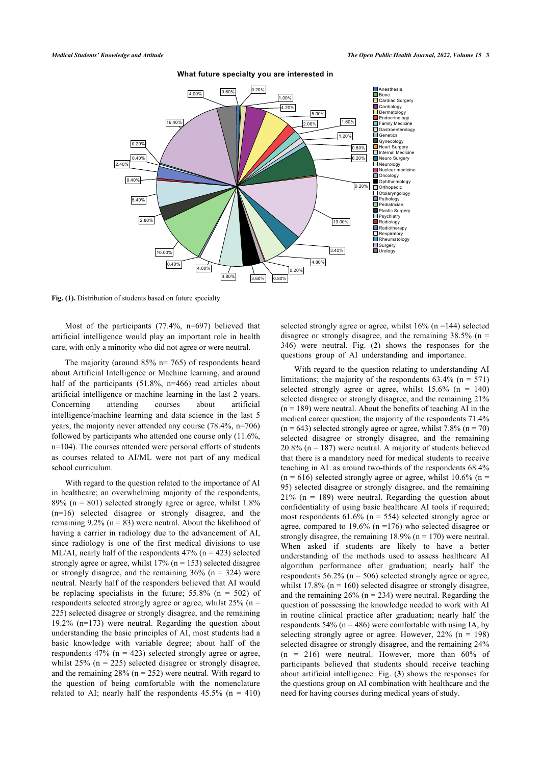

#### **What future specialty you are interested in**

Fig. (1). Distribution of students based on future specialty.

Most of the participants (77.4%, n=697) believed that artificial intelligence would play an important role in health care, with only a minority who did not agree or were neutral.

The majority (around  $85\%$  n= 765) of respondents heard about Artificial Intelligence or Machine learning, and around half of the participants (51.8%, n=466) read articles about artificial intelligence or machine learning in the last 2 years. Concerning attending courses about artificial intelligence/machine learning and data science in the last 5 years, the majority never attended any course (78.4%, n=706) followed by participants who attended one course only (11.6%, n=104). The courses attended were personal efforts of students as courses related to AI/ML were not part of any medical school curriculum.

With regard to the question related to the importance of AI in healthcare; an overwhelming majority of the respondents, 89% ( $n = 801$ ) selected strongly agree or agree, whilst 1.8% (n=16) selected disagree or strongly disagree, and the remaining 9.2% ( $n = 83$ ) were neutral. About the likelihood of having a carrier in radiology due to the advancement of AI, since radiology is one of the first medical divisions to use ML/AI, nearly half of the respondents  $47\%$  (n = 423) selected strongly agree or agree, whilst  $17\%$  (n = 153) selected disagree or strongly disagree, and the remaining  $36\%$  (n = 324) were neutral. Nearly half of the responders believed that AI would be replacing specialists in the future;  $55.8\%$  (n = 502) of respondents selected strongly agree or agree, whilst  $25\%$  (n = 225) selected disagree or strongly disagree, and the remaining 19.2% (n=173) were neutral. Regarding the question about understanding the basic principles of AI, most students had a basic knowledge with variable degree; about half of the respondents  $47\%$  (n = 423) selected strongly agree or agree, whilst  $25\%$  (n = 225) selected disagree or strongly disagree. and the remaining  $28\%$  (n = 252) were neutral. With regard to the question of being comfortable with the nomenclature related to AI; nearly half the respondents  $45.5\%$  (n = 410)

selected strongly agree or agree, whilst  $16\%$  (n =144) selected disagree or strongly disagree, and the remaining  $38.5\%$  (n = 346) were neutral. Fig. (**[2](#page-3-0)**) shows the responses for the questions group of AI understanding and importance.

With regard to the question relating to understanding AI limitations; the majority of the respondents  $63.4\%$  (n = 571) selected strongly agree or agree, whilst  $15.6\%$  (n = 140) selected disagree or strongly disagree, and the remaining 21%  $(n = 189)$  were neutral. About the benefits of teaching AI in the medical career question; the majority of the respondents 71.4%  $(n = 643)$  selected strongly agree or agree, whilst 7.8%  $(n = 70)$ selected disagree or strongly disagree, and the remaining  $20.8\%$  (n = 187) were neutral. A majority of students believed that there is a mandatory need for medical students to receive teaching in AL as around two-thirds of the respondents 68.4%  $(n = 616)$  selected strongly agree or agree, whilst 10.6% (n = 95) selected disagree or strongly disagree, and the remaining  $21\%$  (n = 189) were neutral. Regarding the question about confidentiality of using basic healthcare AI tools if required; most respondents  $61.6\%$  (n = 554) selected strongly agree or agree, compared to 19.6% ( $n = 176$ ) who selected disagree or strongly disagree, the remaining  $18.9\%$  (n = 170) were neutral. When asked if students are likely to have a better understanding of the methods used to assess healthcare AI algorithm performance after graduation; nearly half the respondents  $56.2\%$  (n = 506) selected strongly agree or agree, whilst  $17.8\%$  (n = 160) selected disagree or strongly disagree, and the remaining  $26\%$  (n = 234) were neutral. Regarding the question of possessing the knowledge needed to work with AI in routine clinical practice after graduation; nearly half the respondents  $54\%$  (n = 486) were comfortable with using IA, by selecting strongly agree or agree. However,  $22\%$  (n = 198) selected disagree or strongly disagree, and the remaining 24%  $(n = 216)$  were neutral. However, more than  $60\%$  of participants believed that students should receive teaching about artificial intelligence. Fig. (**[3](#page-3-1)**) shows the responses for the questions group on AI combination with healthcare and the need for having courses during medical years of study.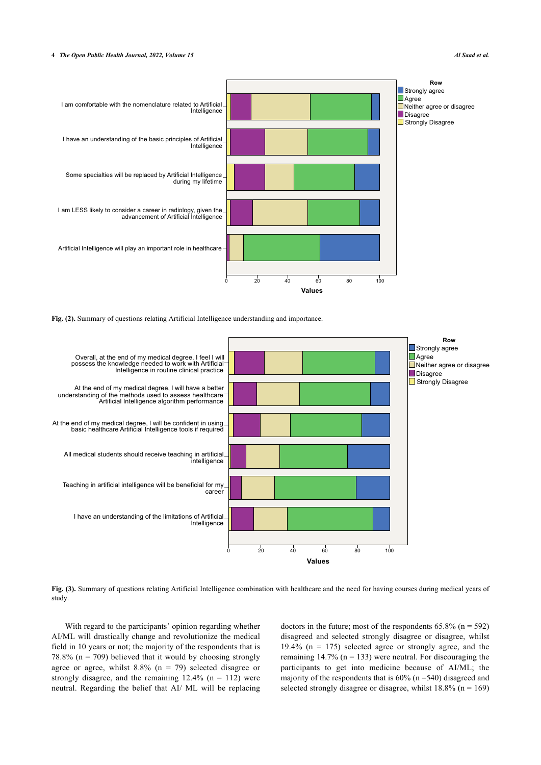<span id="page-3-0"></span>

**Fig. (2).** Summary of questions relating Artificial Intelligence understanding and importance.

<span id="page-3-1"></span>

**Fig. (3).** Summary of questions relating Artificial Intelligence combination with healthcare and the need for having courses during medical years of study.

With regard to the participants' opinion regarding whether AI/ML will drastically change and revolutionize the medical field in 10 years or not; the majority of the respondents that is 78.8% ( $n = 709$ ) believed that it would by choosing strongly agree or agree, whilst  $8.8\%$  (n = 79) selected disagree or strongly disagree, and the remaining  $12.4\%$  (n = 112) were neutral. Regarding the belief that AI/ ML will be replacing

doctors in the future; most of the respondents  $65.8\%$  (n = 592) disagreed and selected strongly disagree or disagree, whilst 19.4% ( $n = 175$ ) selected agree or strongly agree, and the remaining  $14.7\%$  (n = 133) were neutral. For discouraging the participants to get into medicine because of AI/ML; the majority of the respondents that is 60% (n =540) disagreed and selected strongly disagree or disagree, whilst  $18.8\%$  (n = 169)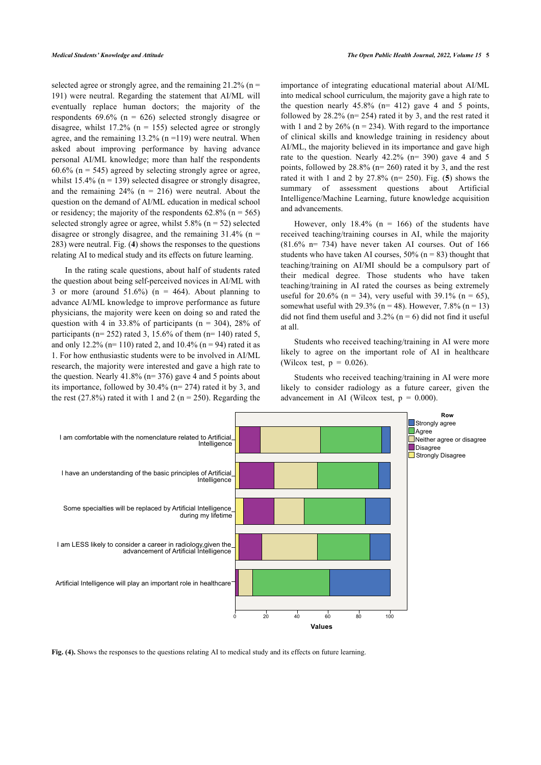selected agree or strongly agree, and the remaining  $21.2\%$  (n = 191) were neutral. Regarding the statement that AI/ML will eventually replace human doctors; the majority of the respondents  $69.6\%$  (n = 626) selected strongly disagree or disagree, whilst  $17.2\%$  (n = 155) selected agree or strongly agree, and the remaining  $13.2\%$  (n =119) were neutral. When asked about improving performance by having advance personal AI/ML knowledge; more than half the respondents  $60.6\%$  (n = 545) agreed by selecting strongly agree or agree, whilst  $15.4\%$  (n = 139) selected disagree or strongly disagree, and the remaining  $24\%$  (n = 216) were neutral. About the question on the demand of AI/ML education in medical school or residency; the majority of the respondents  $62.8\%$  (n = 565) selected strongly agree or agree, whilst  $5.8\%$  (n = 52) selected disagree or strongly disagree, and the remaining  $31.4\%$  (n = 283) were neutral. Fig. (**[4](#page-4-0)**) shows the responses to the questions relating AI to medical study and its effects on future learning.

In the rating scale questions, about half of students rated the question about being self-perceived novices in AI/ML with 3 or more (around  $51.6\%$ ) (n = 464). About planning to advance AI/ML knowledge to improve performance as future physicians, the majority were keen on doing so and rated the question with 4 in 33.8% of participants ( $n = 304$ ), 28% of participants ( $n= 252$ ) rated 3, 15.6% of them ( $n= 140$ ) rated 5, and only 12.2% (n= 110) rated 2, and 10.4% (n = 94) rated it as 1. For how enthusiastic students were to be involved in AI/ML research, the majority were interested and gave a high rate to the question. Nearly  $41.8\%$  (n= 376) gave 4 and 5 points about its importance, followed by 30.4% (n= 274) rated it by 3, and the rest (27.8%) rated it with 1 and 2 ( $n = 250$ ). Regarding the

importance of integrating educational material about AI/ML into medical school curriculum, the majority gave a high rate to the question nearly  $45.8\%$  (n= 412) gave 4 and 5 points, followed by  $28.2\%$  (n= 254) rated it by 3, and the rest rated it with 1 and 2 by  $26\%$  (n = 234). With regard to the importance of clinical skills and knowledge training in residency about AI/ML, the majority believed in its importance and gave high rate to the question. Nearly 42.2% (n= 390) gave 4 and 5 points, followed by 28.8% (n= 260) rated it by 3, and the rest rated it with 1 and 2 by 27.8% (n= 250). Fig. (**[5](#page-4-1)**) shows the summary of assessment questions about Artificial Intelligence/Machine Learning, future knowledge acquisition and advancements.

However, only  $18.4\%$  (n = 166) of the students have received teaching/training courses in AI, while the majority  $(81.6\%$  n= 734) have never taken AI courses. Out of 166 students who have taken AI courses,  $50\%$  (n = 83) thought that teaching/training on AI/MI should be a compulsory part of their medical degree. Those students who have taken teaching/training in AI rated the courses as being extremely useful for 20.6% (n = 34), very useful with 39.1% (n = 65), somewhat useful with 29.3% ( $n = 48$ ). However, 7.8% ( $n = 13$ ) did not find them useful and  $3.2\%$  (n = 6) did not find it useful at all.

Students who received teaching/training in AI were more likely to agree on the important role of AI in healthcare (Wilcox test,  $p = 0.026$ ).

Students who received teaching/training in AI were more likely to consider radiology as a future career, given the advancement in AI (Wilcox test,  $p = 0.000$ ).

<span id="page-4-0"></span>

<span id="page-4-1"></span>**Fig. (4).** Shows the responses to the questions relating AI to medical study and its effects on future learning.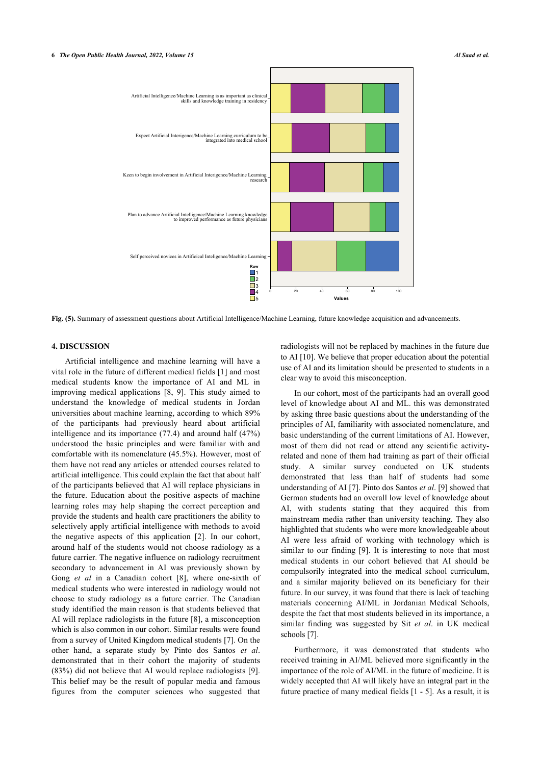

**Fig. (5).** Summary of assessment questions about Artificial Intelligence/Machine Learning, future knowledge acquisition and advancements.

# **4. DISCUSSION**

Artificial intelligence and machine learning will have a vital role in the future of different medical fields [[1](#page-6-0)] and most medical students know the importance of AI and ML in improving medical applications[[8](#page-6-7), [9](#page-7-0)]. This study aimed to understand the knowledge of medical students in Jordan universities about machine learning, according to which 89% of the participants had previously heard about artificial intelligence and its importance (77.4) and around half (47%) understood the basic principles and were familiar with and comfortable with its nomenclature (45.5%). However, most of them have not read any articles or attended courses related to artificial intelligence. This could explain the fact that about half of the participants believed that AI will replace physicians in the future. Education about the positive aspects of machine learning roles may help shaping the correct perception and provide the students and health care practitioners the ability to selectively apply artificial intelligence with methods to avoid the negative aspects of this application [\[2\]](#page-6-1). In our cohort, around half of the students would not choose radiology as a future carrier. The negative influence on radiology recruitment secondary to advancement in AI was previously shown by Gong *et al* in a Canadian cohort [\[8\]](#page-6-7), where one-sixth of medical students who were interested in radiology would not choose to study radiology as a future carrier. The Canadian study identified the main reason is that students believed that AI will replace radiologists in the future [[8\]](#page-6-7), a misconception which is also common in our cohort. Similar results were found from a survey of United Kingdom medical students [[7](#page-6-6)]. On the other hand, a separate study by Pinto dos Santos *et al*. demonstrated that in their cohort the majority of students (83%) did not believe that AI would replace radiologists [\[9\]](#page-7-0). This belief may be the result of popular media and famous figures from the computer sciences who suggested that

radiologists will not be replaced by machines in the future due to AI [\[10](#page-7-1)]. We believe that proper education about the potential use of AI and its limitation should be presented to students in a clear way to avoid this misconception.

In our cohort, most of the participants had an overall good level of knowledge about AI and ML. this was demonstrated by asking three basic questions about the understanding of the principles of AI, familiarity with associated nomenclature, and basic understanding of the current limitations of AI. However, most of them did not read or attend any scientific activityrelated and none of them had training as part of their official study. A similar survey conducted on UK students demonstrated that less than half of students had some understanding of AI [\[7\]](#page-6-6). Pinto dos Santos *et al*. [\[9\]](#page-7-0) showed that German students had an overall low level of knowledge about AI, with students stating that they acquired this from mainstream media rather than university teaching. They also highlighted that students who were more knowledgeable about AI were less afraid of working with technology which is similar to our finding[[9\]](#page-7-0). It is interesting to note that most medical students in our cohort believed that AI should be compulsorily integrated into the medical school curriculum, and a similar majority believed on its beneficiary for their future. In our survey, it was found that there is lack of teaching materials concerning AI/ML in Jordanian Medical Schools, despite the fact that most students believed in its importance, a similar finding was suggested by Sit *et al*. in UK medical schools [\[7\]](#page-6-6).

Furthermore, it was demonstrated that students who received training in AI/ML believed more significantly in the importance of the role of AI/ML in the future of medicine. It is widely accepted that AI will likely have an integral part in the future practice of many medical fields [\[1](#page-6-0) - [5\]](#page-6-4). As a result, it is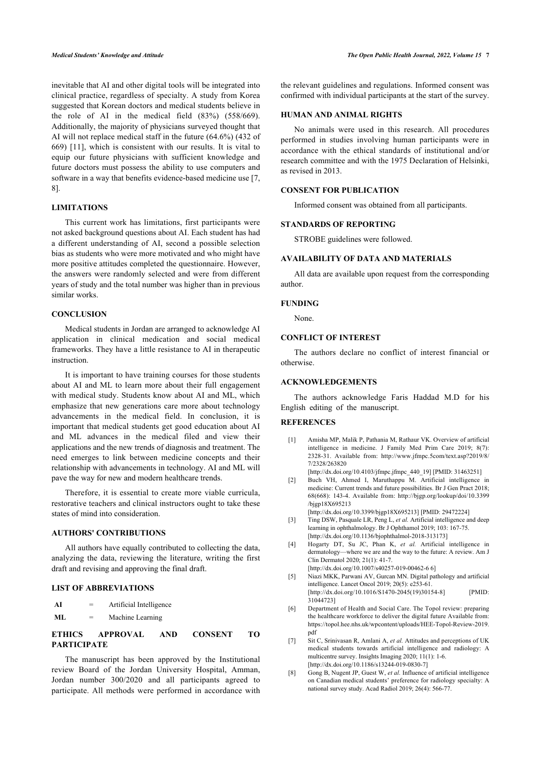inevitable that AI and other digital tools will be integrated into clinical practice, regardless of specialty. A study from Korea suggested that Korean doctors and medical students believe in the role of AI in the medical field (83%) (558/669). Additionally, the majority of physicians surveyed thought that AI will not replace medical staff in the future (64.6%) (432 of 669) [\[11](#page-7-2)], which is consistent with our results. It is vital to equip our future physicians with sufficient knowledge and future doctors must possess the ability to use computers and software in a way that benefits evidence-based medicine use [[7](#page-6-6), [8](#page-6-7)].

# **LIMITATIONS**

This current work has limitations, first participants were not asked background questions about AI. Each student has had a different understanding of AI, second a possible selection bias as students who were more motivated and who might have more positive attitudes completed the questionnaire. However, the answers were randomly selected and were from different years of study and the total number was higher than in previous similar works.

# **CONCLUSION**

Medical students in Jordan are arranged to acknowledge AI application in clinical medication and social medical frameworks. They have a little resistance to AI in therapeutic instruction.

It is important to have training courses for those students about AI and ML to learn more about their full engagement with medical study. Students know about AI and ML, which emphasize that new generations care more about technology advancements in the medical field. In conclusion, it is important that medical students get good education about AI and ML advances in the medical filed and view their applications and the new trends of diagnosis and treatment. The need emerges to link between medicine concepts and their relationship with advancements in technology. AI and ML will pave the way for new and modern healthcare trends.

<span id="page-6-1"></span><span id="page-6-0"></span>Therefore, it is essential to create more viable curricula, restorative teachers and clinical instructors ought to take these states of mind into consideration.

# <span id="page-6-2"></span>**AUTHORS' CONTRIBUTIONS**

<span id="page-6-3"></span>All authors have equally contributed to collecting the data, analyzing the data, reviewing the literature, writing the first draft and revising and approving the final draft.

# <span id="page-6-4"></span>**LIST OF ABBREVIATIONS**

- <span id="page-6-5"></span>**AI** = Artificial Intelligence
- **ML** = Machine Learning

# <span id="page-6-6"></span>**ETHICS APPROVAL AND CONSENT TO PARTICIPATE**

<span id="page-6-7"></span>The manuscript has been approved by the Institutional review Board of the Jordan University Hospital, Amman, Jordan number 300/2020 and all participants agreed to participate. All methods were performed in accordance with

the relevant guidelines and regulations. Informed consent was confirmed with individual participants at the start of the survey.

## **HUMAN AND ANIMAL RIGHTS**

No animals were used in this research. All procedures performed in studies involving human participants were in accordance with the ethical standards of institutional and/or research committee and with the 1975 Declaration of Helsinki, as revised in 2013.

# **CONSENT FOR PUBLICATION**

Informed consent was obtained from all participants.

# **STANDARDS OF REPORTING**

STROBE guidelines were followed.

# **AVAILABILITY OF DATA AND MATERIALS**

All data are available upon request from the corresponding author.

#### **FUNDING**

None.

# **CONFLICT OF INTEREST**

The authors declare no conflict of interest financial or otherwise.

# **ACKNOWLEDGEMENTS**

The authors acknowledge Faris Haddad M.D for his English editing of the manuscript.

# **REFERENCES**

[1] Amisha MP, Malik P, Pathania M, Rathaur VK. Overview of artificial intelligence in medicine. J Family Med Prim Care 2019; 8(7): 2328-31. Available from: [http://www.jfmpc.5com/text.asp?2019/8/](http://www.jfmpc.5com/text.asp?2019/8/7/2328/263820) [7/2328/263820](http://www.jfmpc.5com/text.asp?2019/8/7/2328/263820)

[\[http://dx.doi.org/10.4103/jfmpc.jfmpc\\_440\\_19](http://dx.doi.org/10.4103/jfmpc.jfmpc_440_19)] [PMID: [31463251\]](http://www.ncbi.nlm.nih.gov/pubmed/31463251)

[2] Buch VH, Ahmed I, Maruthappu M. Artificial intelligence in medicine: Current trends and future possibilities. Br J Gen Pract 2018; 68(668): 143-4. Available from: [http://bjgp.org/lookup/doi/10.3399](http://bjgp.org/lookup/doi/10.3399/bjgp18X695213) [/bjgp18X695213](http://bjgp.org/lookup/doi/10.3399/bjgp18X695213)

[\[http://dx.doi.org/10.3399/bjgp18X695213\]](http://dx.doi.org/10.3399/bjgp18X695213) [PMID: [29472224\]](http://www.ncbi.nlm.nih.gov/pubmed/29472224)

- [3] Ting DSW, Pasquale LR, Peng L, *et al.* Artificial intelligence and deep learning in ophthalmology. Br J Ophthamol 2019; 103: 167-75. [\[http://dx.doi.org/10.1136/bjophthalmol-2018-313173](http://dx.doi.org/10.1136/bjophthalmol-2018-313173)]
- [4] Hogarty DT, Su JC, Phan K, *et al.* Artificial intelligence in dermatology—where we are and the way to the future: A review. Am J Clin Dermatol 2020; 21(1): 41-7. [\[http://dx.doi.org/10.1007/s40257-019-00462-6 6](http://dx.doi.org/10.1007/s40257-019-00462-6%206)]
- [5] Niazi MKK, Parwani AV, Gurcan MN. Digital pathology and artificial intelligence. Lancet Oncol 2019; 20(5): e253-61. [\[http://dx.doi.org/10.1016/S1470-2045\(19\)30154-8](http://dx.doi.org/10.1016/S1470-2045(19)30154-8)] [PMID: [31044723\]](http://www.ncbi.nlm.nih.gov/pubmed/31044723)
- [6] Department of Health and Social Care. The Topol review: preparing the healthcare workforce to deliver the digital future Available from: [https://topol.hee.nhs.uk/wpcontent/uploads/HEE-Topol-Review-2019.](https://topol.hee.nhs.uk/wpcontent/uploads/HEE-Topol-Review-2019.pdf) [pdf](https://topol.hee.nhs.uk/wpcontent/uploads/HEE-Topol-Review-2019.pdf)
- [7] Sit C, Srinivasan R, Amlani A, *et al.* Attitudes and perceptions of UK medical students towards artificial intelligence and radiology: A multicentre survey. Insights Imaging 2020; 11(1): 1-6. [\[http://dx.doi.org/10.1186/s13244-019-0830-7\]](http://dx.doi.org/10.1186/s13244-019-0830-7)
- [8] Gong B, Nugent JP, Guest W, *et al.* Influence of artificial intelligence on Canadian medical students' preference for radiology specialty: A national survey study. Acad Radiol 2019; 26(4): 566-77.